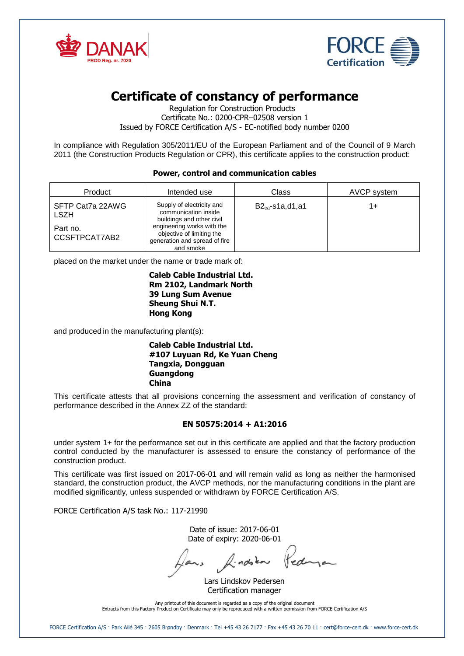



# **Certificate of constancy of performance**

Regulation for Construction Products Certificate No.: 0200-CPR–02508 version 1 Issued by FORCE Certification A/S - EC-notified body number 0200

In compliance with Regulation 305/2011/EU of the European Parliament and of the Council of 9 March 2011 (the Construction Products Regulation or CPR), this certificate applies to the construction product:

# **Power, control and communication cables**

| Product                         | Intended use                                                                                          | Class                | AVCP system |
|---------------------------------|-------------------------------------------------------------------------------------------------------|----------------------|-------------|
| SFTP Cat7a 22AWG<br><b>LSZH</b> | Supply of electricity and<br>communication inside<br>buildings and other civil                        | $B2_{ca}$ -s1a,d1,a1 | 1+          |
| Part no.<br>CCSFTPCAT7AB2       | engineering works with the<br>objective of limiting the<br>generation and spread of fire<br>and smoke |                      |             |

placed on the market under the name or trade mark of:

### **Caleb Cable Industrial Ltd. Rm 2102, Landmark North 39 Lung Sum Avenue Sheung Shui N.T. Hong Kong**

and produced in the manufacturing plant(s):

#### **Caleb Cable Industrial Ltd. #107 Luyuan Rd, Ke Yuan Cheng Tangxia, Dongguan Guangdong China**

This certificate attests that all provisions concerning the assessment and verification of constancy of performance described in the Annex ZZ of the standard:

# **EN 50575:2014 + A1:2016**

under system 1+ for the performance set out in this certificate are applied and that the factory production control conducted by the manufacturer is assessed to ensure the constancy of performance of the construction product.

This certificate was first issued on 2017-06-01 and will remain valid as long as neither the harmonised standard, the construction product, the AVCP methods, nor the manufacturing conditions in the plant are modified significantly, unless suspended or withdrawn by FORCE Certification A/S.

FORCE Certification A/S task No.: 117-21990

Date of issue: 2017-06-01 Date of expiry: 2020-06-01

Pedina Jans findston

Lars Lindskov Pedersen Certification manager

Any printout of this document is regarded as a copy of the original document Extracts from this Factory Production Certificate may only be reproduced with a written permission from FORCE Certification A/S